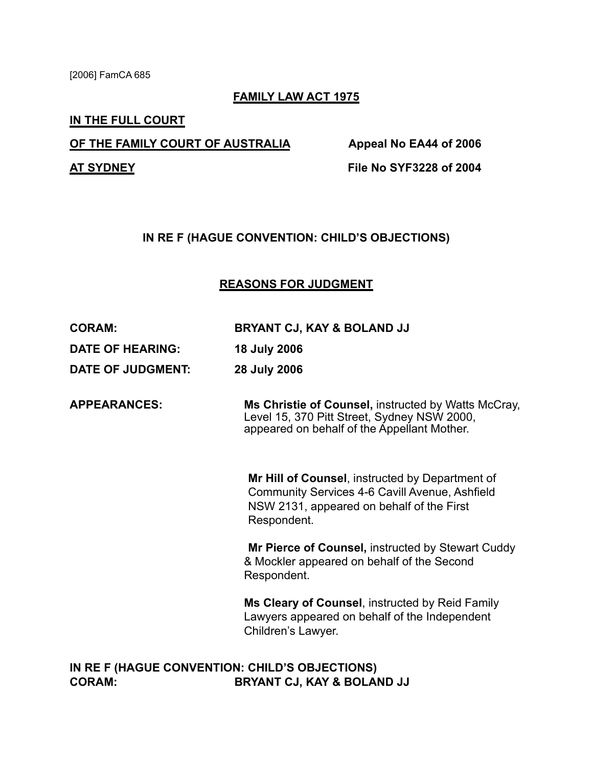[2006] FamCA 685

### **FAMILY LAW ACT 1975**

#### **IN THE FULL COURT**

### **OF THE FAMILY COURT OF AUSTRALIA Appeal No EA44 of 2006**

**AT SYDNEY File No SYF3228 of 2004**

## **IN RE F (HAGUE CONVENTION: CHILD'S OBJECTIONS)**

## **REASONS FOR JUDGMENT**

**DATE OF HEARING: 18 July 2006**

**DATE OF JUDGMENT: 28 July 2006**

**APPEARANCES: Ms Christie of Counsel,** instructed by Watts McCray, Level 15, 370 Pitt Street, Sydney NSW 2000, appeared on behalf of the Appellant Mother.

> **Mr Hill of Counsel**, instructed by Department of Community Services 4-6 Cavill Avenue, Ashfield NSW 2131, appeared on behalf of the First Respondent.

**Mr Pierce of Counsel,** instructed by Stewart Cuddy & Mockler appeared on behalf of the Second Respondent.

**Ms Cleary of Counsel**, instructed by Reid Family Lawyers appeared on behalf of the Independent Children's Lawyer.

# **IN RE F (HAGUE CONVENTION: CHILD'S OBJECTIONS) CORAM: BRYANT CJ, KAY & BOLAND JJ**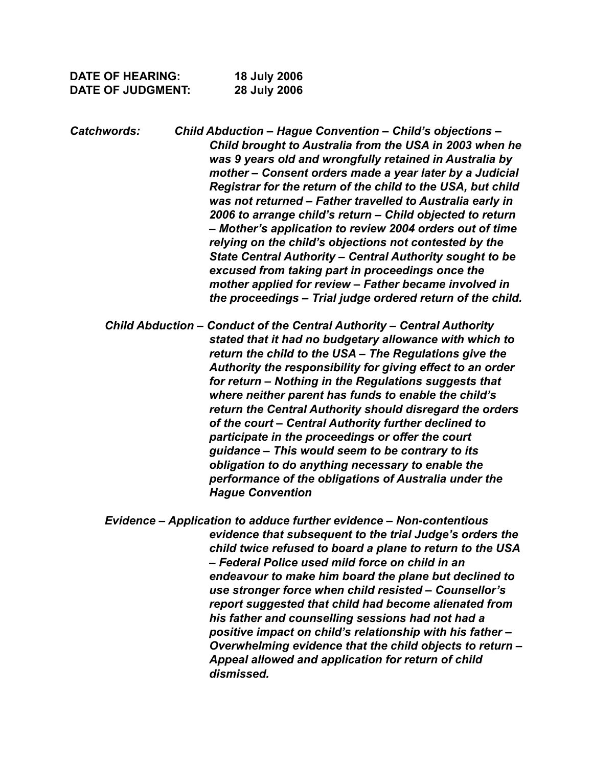| <b>DATE OF HEARING:</b>  | <b>18 July 2006</b> |
|--------------------------|---------------------|
| <b>DATE OF JUDGMENT:</b> | 28 July 2006        |

*Catchwords: Child Abduction – Hague Convention – Child's objections – Child brought to Australia from the USA in 2003 when he was 9 years old and wrongfully retained in Australia by mother – Consent orders made a year later by a Judicial Registrar for the return of the child to the USA, but child was not returned – Father travelled to Australia early in 2006 to arrange child's return – Child objected to return – Mother's application to review 2004 orders out of time relying on the child's objections not contested by the State Central Authority – Central Authority sought to be excused from taking part in proceedings once the mother applied for review – Father became involved in the proceedings – Trial judge ordered return of the child.* 

*Child Abduction – Conduct of the Central Authority – Central Authority stated that it had no budgetary allowance with which to return the child to the USA – The Regulations give the Authority the responsibility for giving effect to an order for return – Nothing in the Regulations suggests that where neither parent has funds to enable the child's return the Central Authority should disregard the orders of the court – Central Authority further declined to participate in the proceedings or offer the court guidance – This would seem to be contrary to its obligation to do anything necessary to enable the performance of the obligations of Australia under the Hague Convention* 

*Evidence – Application to adduce further evidence – Non-contentious evidence that subsequent to the trial Judge's orders the child twice refused to board a plane to return to the USA – Federal Police used mild force on child in an endeavour to make him board the plane but declined to use stronger force when child resisted – Counsellor's report suggested that child had become alienated from his father and counselling sessions had not had a positive impact on child's relationship with his father – Overwhelming evidence that the child objects to return – Appeal allowed and application for return of child dismissed.*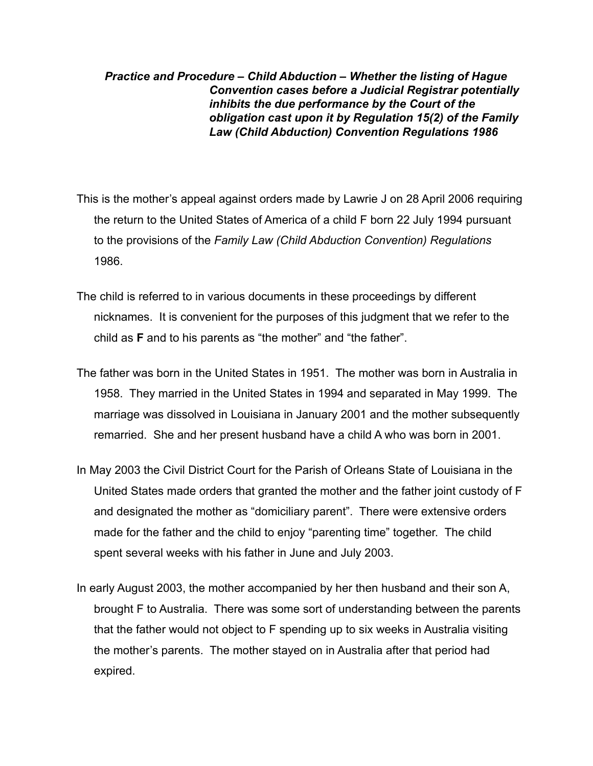*Practice and Procedure – Child Abduction – Whether the listing of Hague Convention cases before a Judicial Registrar potentially inhibits the due performance by the Court of the obligation cast upon it by Regulation 15(2) of the Family Law (Child Abduction) Convention Regulations 1986*

- This is the mother's appeal against orders made by Lawrie J on 28 April 2006 requiring the return to the United States of America of a child F born 22 July 1994 pursuant to the provisions of the *Family Law (Child Abduction Convention) Regulations* 1986.
- The child is referred to in various documents in these proceedings by different nicknames. It is convenient for the purposes of this judgment that we refer to the child as **F** and to his parents as "the mother" and "the father".
- The father was born in the United States in 1951. The mother was born in Australia in 1958. They married in the United States in 1994 and separated in May 1999. The marriage was dissolved in Louisiana in January 2001 and the mother subsequently remarried. She and her present husband have a child A who was born in 2001.
- In May 2003 the Civil District Court for the Parish of Orleans State of Louisiana in the United States made orders that granted the mother and the father joint custody of F and designated the mother as "domiciliary parent". There were extensive orders made for the father and the child to enjoy "parenting time" together. The child spent several weeks with his father in June and July 2003.
- In early August 2003, the mother accompanied by her then husband and their son A, brought F to Australia. There was some sort of understanding between the parents that the father would not object to F spending up to six weeks in Australia visiting the mother's parents. The mother stayed on in Australia after that period had expired.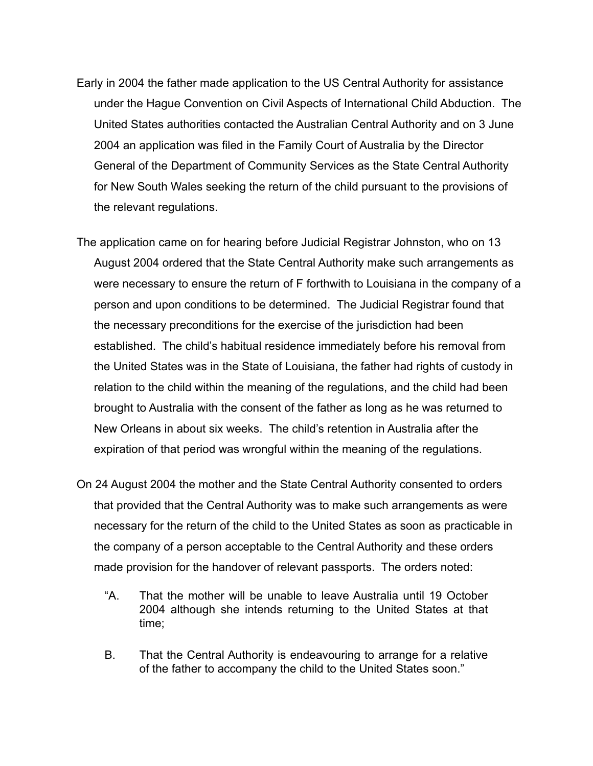- Early in 2004 the father made application to the US Central Authority for assistance under the Hague Convention on Civil Aspects of International Child Abduction. The United States authorities contacted the Australian Central Authority and on 3 June 2004 an application was filed in the Family Court of Australia by the Director General of the Department of Community Services as the State Central Authority for New South Wales seeking the return of the child pursuant to the provisions of the relevant regulations.
- The application came on for hearing before Judicial Registrar Johnston, who on 13 August 2004 ordered that the State Central Authority make such arrangements as were necessary to ensure the return of F forthwith to Louisiana in the company of a person and upon conditions to be determined. The Judicial Registrar found that the necessary preconditions for the exercise of the jurisdiction had been established. The child's habitual residence immediately before his removal from the United States was in the State of Louisiana, the father had rights of custody in relation to the child within the meaning of the regulations, and the child had been brought to Australia with the consent of the father as long as he was returned to New Orleans in about six weeks. The child's retention in Australia after the expiration of that period was wrongful within the meaning of the regulations.
- On 24 August 2004 the mother and the State Central Authority consented to orders that provided that the Central Authority was to make such arrangements as were necessary for the return of the child to the United States as soon as practicable in the company of a person acceptable to the Central Authority and these orders made provision for the handover of relevant passports. The orders noted:
	- "A. That the mother will be unable to leave Australia until 19 October 2004 although she intends returning to the United States at that time;
	- B. That the Central Authority is endeavouring to arrange for a relative of the father to accompany the child to the United States soon."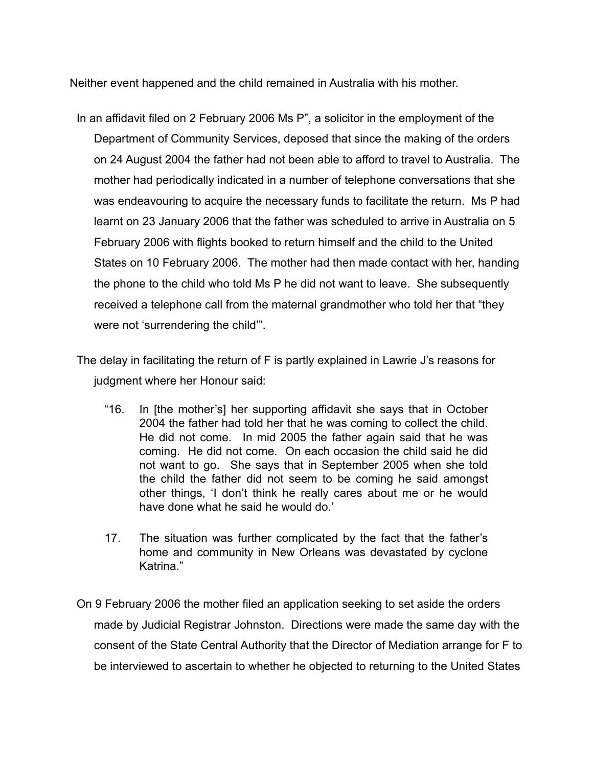Neither event happened and the child remained in Australia with his mother.

- In an affidavit filed on 2 February 2006 Ms P", a solicitor in the employment of the Department of Community Services, deposed that since the making of the orders on 24 August 2004 the father had not been able to afford to travel to Australia. The mother had periodically indicated in a number of telephone conversations that she was endeavouring to acquire the necessary funds to facilitate the return. Ms P had learnt on 23 January 2006 that the father was scheduled to arrive in Australia on 5 February 2006 with flights booked to return himself and the child to the United States on 10 February 2006. The mother had then made contact with her, handing the phone to the child who told Ms P he did not want to leave. She subsequently received a telephone call from the maternal grandmother who told her that "they were not 'surrendering the child'".
- The delay in facilitating the return of F is partly explained in Lawrie J's reasons for judgment where her Honour said:
	- "16. In [the mother's] her supporting affidavit she says that in October 2004 the father had told her that he was coming to collect the child. He did not come. In mid 2005 the father again said that he was coming. He did not come. On each occasion the child said he did not want to go. She says that in September 2005 when she told the child the father did not seem to be coming he said amongst other things, 'I don't think he really cares about me or he would have done what he said he would do.'
	- 17. The situation was further complicated by the fact that the father's home and community in New Orleans was devastated by cyclone Katrina."
- On 9 February 2006 the mother filed an application seeking to set aside the orders made by Judicial Registrar Johnston. Directions were made the same day with the consent of the State Central Authority that the Director of Mediation arrange for F to be interviewed to ascertain to whether he objected to returning to the United States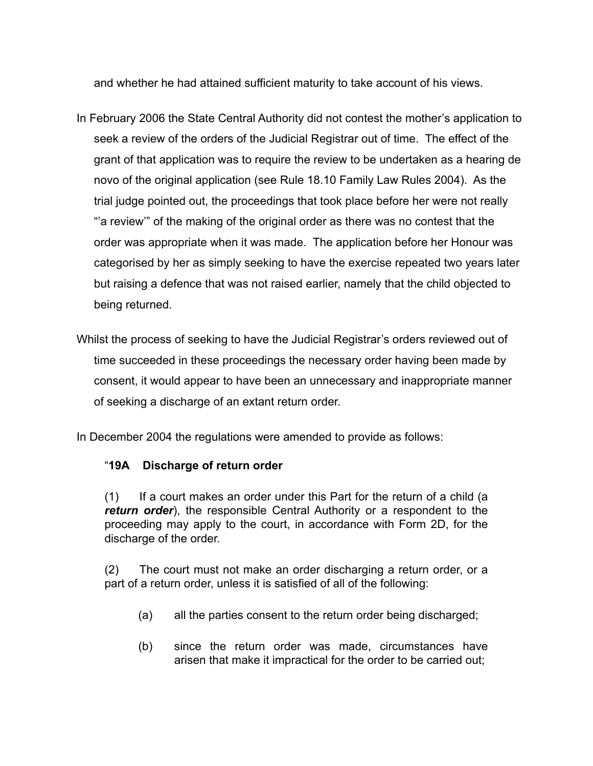and whether he had attained sufficient maturity to take account of his views.

- In February 2006 the State Central Authority did not contest the mother's application to seek a review of the orders of the Judicial Registrar out of time. The effect of the grant of that application was to require the review to be undertaken as a hearing de novo of the original application (see Rule 18.10 Family Law Rules 2004). As the trial judge pointed out, the proceedings that took place before her were not really "'a review'" of the making of the original order as there was no contest that the order was appropriate when it was made. The application before her Honour was categorised by her as simply seeking to have the exercise repeated two years later but raising a defence that was not raised earlier, namely that the child objected to being returned.
- Whilst the process of seeking to have the Judicial Registrar's orders reviewed out of time succeeded in these proceedings the necessary order having been made by consent, it would appear to have been an unnecessary and inappropriate manner of seeking a discharge of an extant return order.

In December 2004 the regulations were amended to provide as follows:

## "**19A Discharge of return order**

(1) If a court makes an order under this Part for the return of a child (a *return order*), the responsible Central Authority or a respondent to the proceeding may apply to the court, in accordance with Form 2D, for the discharge of the order.

(2) The court must not make an order discharging a return order, or a part of a return order, unless it is satisfied of all of the following:

- (a) all the parties consent to the return order being discharged;
- (b) since the return order was made, circumstances have arisen that make it impractical for the order to be carried out;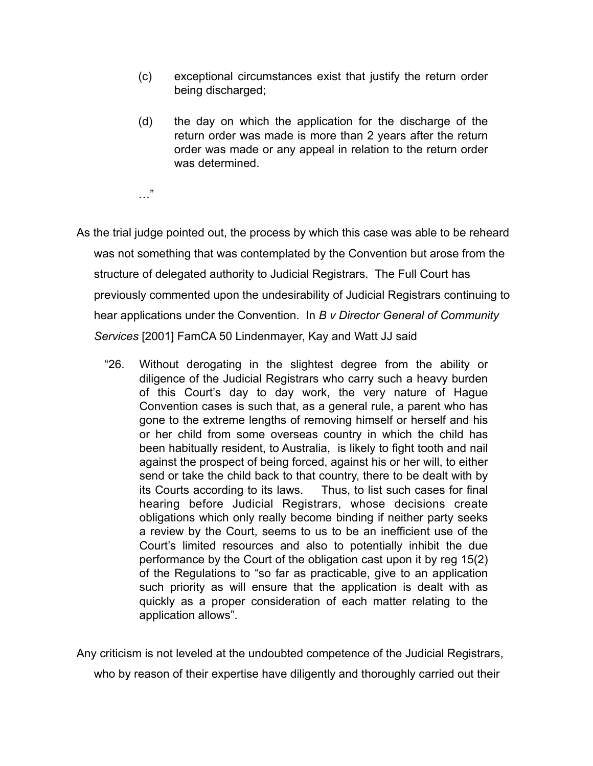- (c) exceptional circumstances exist that justify the return order being discharged;
- (d) the day on which the application for the discharge of the return order was made is more than 2 years after the return order was made or any appeal in relation to the return order was determined.

…"

As the trial judge pointed out, the process by which this case was able to be reheard was not something that was contemplated by the Convention but arose from the structure of delegated authority to Judicial Registrars. The Full Court has previously commented upon the undesirability of Judicial Registrars continuing to hear applications under the Convention. In *B v Director General of Community Services* [2001] FamCA 50 Lindenmayer, Kay and Watt JJ said

"26. Without derogating in the slightest degree from the ability or diligence of the Judicial Registrars who carry such a heavy burden of this Court's day to day work, the very nature of Hague Convention cases is such that, as a general rule, a parent who has gone to the extreme lengths of removing himself or herself and his or her child from some overseas country in which the child has been habitually resident, to Australia, is likely to fight tooth and nail against the prospect of being forced, against his or her will, to either send or take the child back to that country, there to be dealt with by its Courts according to its laws. Thus, to list such cases for final hearing before Judicial Registrars, whose decisions create obligations which only really become binding if neither party seeks a review by the Court, seems to us to be an inefficient use of the Court's limited resources and also to potentially inhibit the due performance by the Court of the obligation cast upon it by reg 15(2) of the Regulations to "so far as practicable, give to an application such priority as will ensure that the application is dealt with as quickly as a proper consideration of each matter relating to the application allows".

Any criticism is not leveled at the undoubted competence of the Judicial Registrars,

who by reason of their expertise have diligently and thoroughly carried out their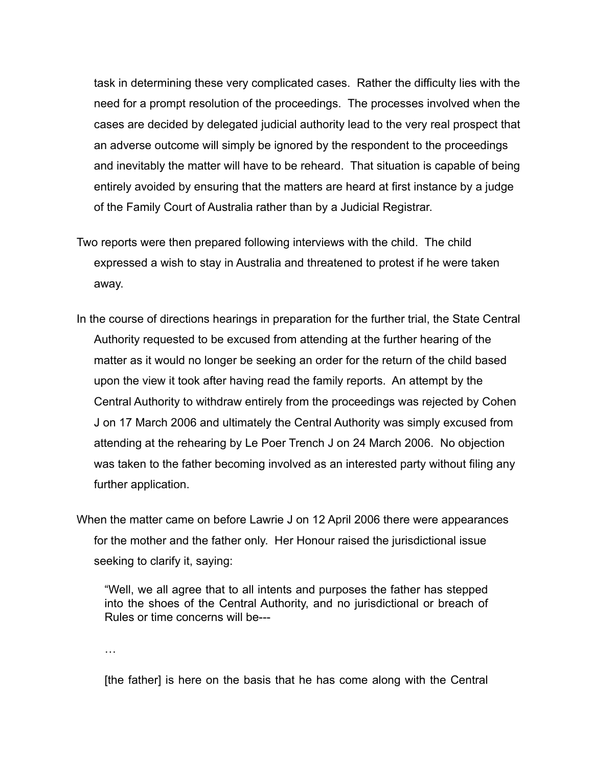task in determining these very complicated cases. Rather the difficulty lies with the need for a prompt resolution of the proceedings. The processes involved when the cases are decided by delegated judicial authority lead to the very real prospect that an adverse outcome will simply be ignored by the respondent to the proceedings and inevitably the matter will have to be reheard. That situation is capable of being entirely avoided by ensuring that the matters are heard at first instance by a judge of the Family Court of Australia rather than by a Judicial Registrar.

- Two reports were then prepared following interviews with the child. The child expressed a wish to stay in Australia and threatened to protest if he were taken away.
- In the course of directions hearings in preparation for the further trial, the State Central Authority requested to be excused from attending at the further hearing of the matter as it would no longer be seeking an order for the return of the child based upon the view it took after having read the family reports. An attempt by the Central Authority to withdraw entirely from the proceedings was rejected by Cohen J on 17 March 2006 and ultimately the Central Authority was simply excused from attending at the rehearing by Le Poer Trench J on 24 March 2006. No objection was taken to the father becoming involved as an interested party without filing any further application.

When the matter came on before Lawrie J on 12 April 2006 there were appearances for the mother and the father only. Her Honour raised the jurisdictional issue seeking to clarify it, saying:

"Well, we all agree that to all intents and purposes the father has stepped into the shoes of the Central Authority, and no jurisdictional or breach of Rules or time concerns will be---

…

[the father] is here on the basis that he has come along with the Central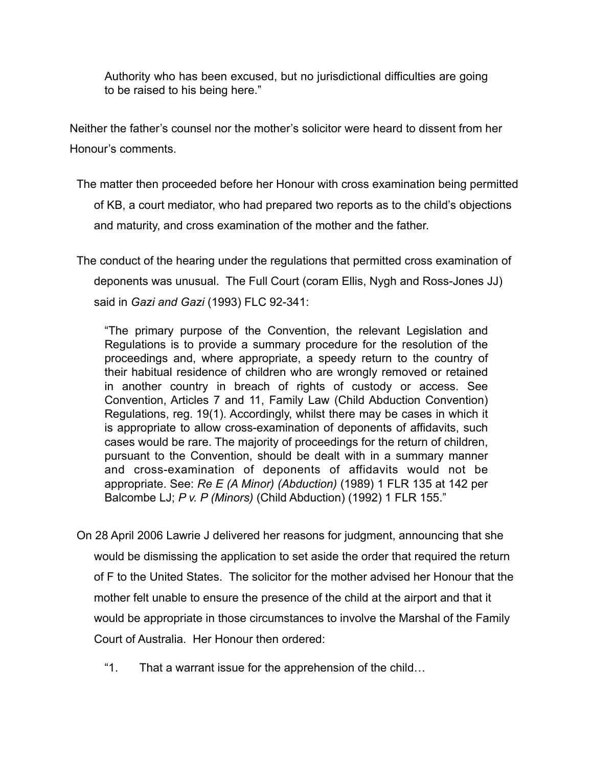Authority who has been excused, but no jurisdictional difficulties are going to be raised to his being here."

Neither the father's counsel nor the mother's solicitor were heard to dissent from her Honour's comments.

The matter then proceeded before her Honour with cross examination being permitted of KB, a court mediator, who had prepared two reports as to the child's objections and maturity, and cross examination of the mother and the father.

The conduct of the hearing under the regulations that permitted cross examination of deponents was unusual. The Full Court (coram Ellis, Nygh and Ross-Jones JJ) said in *Gazi and Gazi* (1993) FLC 92-341:

"The primary purpose of the Convention, the relevant Legislation and Regulations is to provide a summary procedure for the resolution of the proceedings and, where appropriate, a speedy return to the country of their habitual residence of children who are wrongly removed or retained in another country in breach of rights of custody or access. See Convention, Articles 7 and 11, Family Law (Child Abduction Convention) Regulations, reg. 19(1). Accordingly, whilst there may be cases in which it is appropriate to allow cross-examination of deponents of affidavits, such cases would be rare. The majority of proceedings for the return of children, pursuant to the Convention, should be dealt with in a summary manner and cross-examination of deponents of affidavits would not be appropriate. See: *Re E (A Minor) (Abduction)* (1989) 1 FLR 135 at 142 per Balcombe LJ; *P v. P (Minors)* (Child Abduction) (1992) 1 FLR 155."

- On 28 April 2006 Lawrie J delivered her reasons for judgment, announcing that she would be dismissing the application to set aside the order that required the return of F to the United States. The solicitor for the mother advised her Honour that the mother felt unable to ensure the presence of the child at the airport and that it would be appropriate in those circumstances to involve the Marshal of the Family Court of Australia. Her Honour then ordered:
	- "1. That a warrant issue for the apprehension of the child…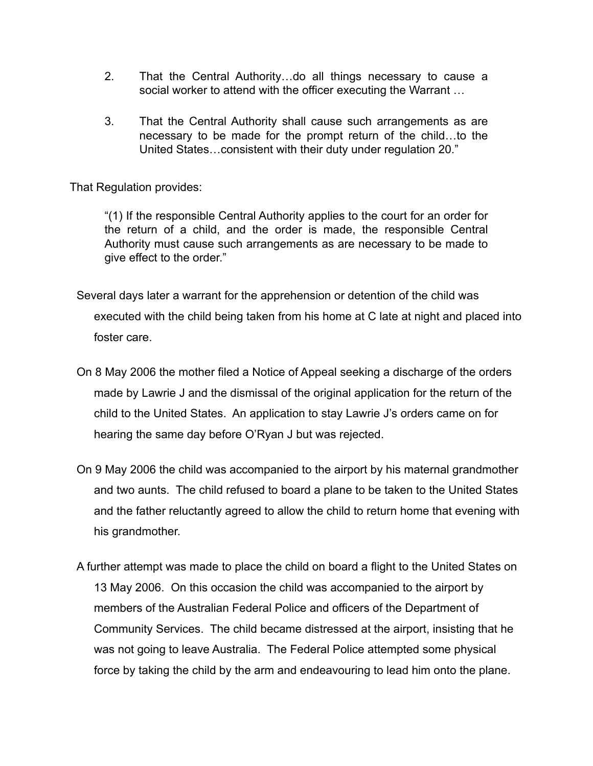- 2. That the Central Authority…do all things necessary to cause a social worker to attend with the officer executing the Warrant …
- 3. That the Central Authority shall cause such arrangements as are necessary to be made for the prompt return of the child…to the United States…consistent with their duty under regulation 20."

That Regulation provides:

"(1) If the responsible Central Authority applies to the court for an order for the return of a child, and the order is made, the responsible Central Authority must cause such arrangements as are necessary to be made to give effect to the order."

- Several days later a warrant for the apprehension or detention of the child was executed with the child being taken from his home at C late at night and placed into foster care.
- On 8 May 2006 the mother filed a Notice of Appeal seeking a discharge of the orders made by Lawrie J and the dismissal of the original application for the return of the child to the United States. An application to stay Lawrie J's orders came on for hearing the same day before O'Ryan J but was rejected.
- On 9 May 2006 the child was accompanied to the airport by his maternal grandmother and two aunts. The child refused to board a plane to be taken to the United States and the father reluctantly agreed to allow the child to return home that evening with his grandmother.
- A further attempt was made to place the child on board a flight to the United States on 13 May 2006. On this occasion the child was accompanied to the airport by members of the Australian Federal Police and officers of the Department of Community Services. The child became distressed at the airport, insisting that he was not going to leave Australia. The Federal Police attempted some physical force by taking the child by the arm and endeavouring to lead him onto the plane.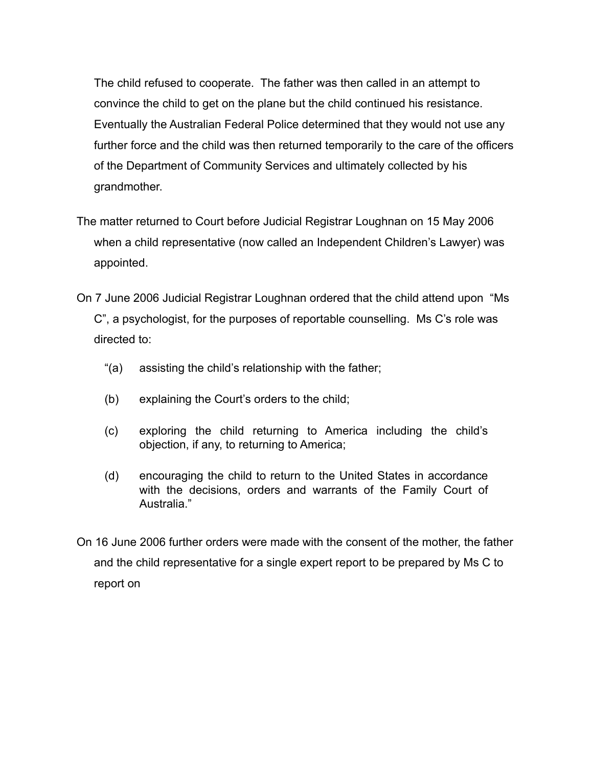The child refused to cooperate. The father was then called in an attempt to convince the child to get on the plane but the child continued his resistance. Eventually the Australian Federal Police determined that they would not use any further force and the child was then returned temporarily to the care of the officers of the Department of Community Services and ultimately collected by his grandmother.

- The matter returned to Court before Judicial Registrar Loughnan on 15 May 2006 when a child representative (now called an Independent Children's Lawyer) was appointed.
- On 7 June 2006 Judicial Registrar Loughnan ordered that the child attend upon "Ms C", a psychologist, for the purposes of reportable counselling. Ms C's role was directed to:
	- "(a) assisting the child's relationship with the father;
	- (b) explaining the Court's orders to the child;
	- (c) exploring the child returning to America including the child's objection, if any, to returning to America;
	- (d) encouraging the child to return to the United States in accordance with the decisions, orders and warrants of the Family Court of Australia."
- On 16 June 2006 further orders were made with the consent of the mother, the father and the child representative for a single expert report to be prepared by Ms C to report on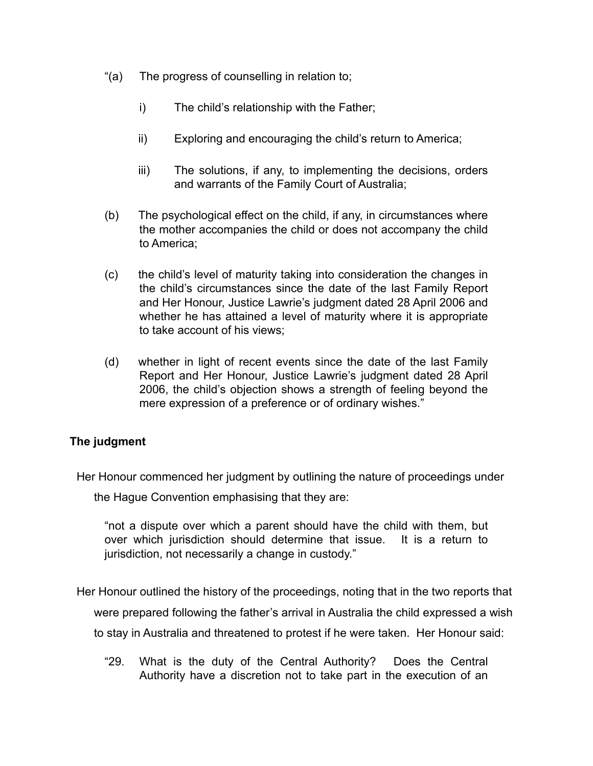- "(a) The progress of counselling in relation to;
	- i) The child's relationship with the Father;
	- ii) Exploring and encouraging the child's return to America;
	- iii) The solutions, if any, to implementing the decisions, orders and warrants of the Family Court of Australia;
- (b) The psychological effect on the child, if any, in circumstances where the mother accompanies the child or does not accompany the child to America;
- (c) the child's level of maturity taking into consideration the changes in the child's circumstances since the date of the last Family Report and Her Honour, Justice Lawrie's judgment dated 28 April 2006 and whether he has attained a level of maturity where it is appropriate to take account of his views;
- (d) whether in light of recent events since the date of the last Family Report and Her Honour, Justice Lawrie's judgment dated 28 April 2006, the child's objection shows a strength of feeling beyond the mere expression of a preference or of ordinary wishes."

# **The judgment**

Her Honour commenced her judgment by outlining the nature of proceedings under

the Hague Convention emphasising that they are:

"not a dispute over which a parent should have the child with them, but over which jurisdiction should determine that issue. It is a return to jurisdiction, not necessarily a change in custody."

Her Honour outlined the history of the proceedings, noting that in the two reports that were prepared following the father's arrival in Australia the child expressed a wish to stay in Australia and threatened to protest if he were taken. Her Honour said:

"29. What is the duty of the Central Authority? Does the Central Authority have a discretion not to take part in the execution of an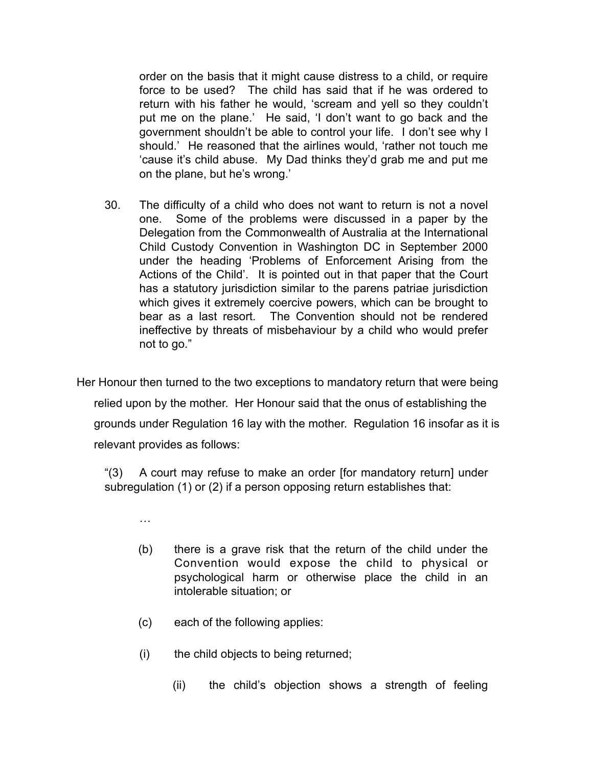order on the basis that it might cause distress to a child, or require force to be used? The child has said that if he was ordered to return with his father he would, 'scream and yell so they couldn't put me on the plane.' He said, 'I don't want to go back and the government shouldn't be able to control your life. I don't see why I should.' He reasoned that the airlines would, 'rather not touch me 'cause it's child abuse. My Dad thinks they'd grab me and put me on the plane, but he's wrong.'

30. The difficulty of a child who does not want to return is not a novel one. Some of the problems were discussed in a paper by the Delegation from the Commonwealth of Australia at the International Child Custody Convention in Washington DC in September 2000 under the heading 'Problems of Enforcement Arising from the Actions of the Child'. It is pointed out in that paper that the Court has a statutory jurisdiction similar to the parens patriae jurisdiction which gives it extremely coercive powers, which can be brought to bear as a last resort. The Convention should not be rendered ineffective by threats of misbehaviour by a child who would prefer not to go."

Her Honour then turned to the two exceptions to mandatory return that were being relied upon by the mother. Her Honour said that the onus of establishing the grounds under Regulation 16 lay with the mother. Regulation 16 insofar as it is relevant provides as follows:

"(3) A court may refuse to make an order [for mandatory return] under subregulation (1) or (2) if a person opposing return establishes that:

- …
- (b) there is a grave risk that the return of the child under the Convention would expose the child to physical or psychological harm or otherwise place the child in an intolerable situation; or
- (c) each of the following applies:
- (i) the child objects to being returned;
	- (ii) the child's objection shows a strength of feeling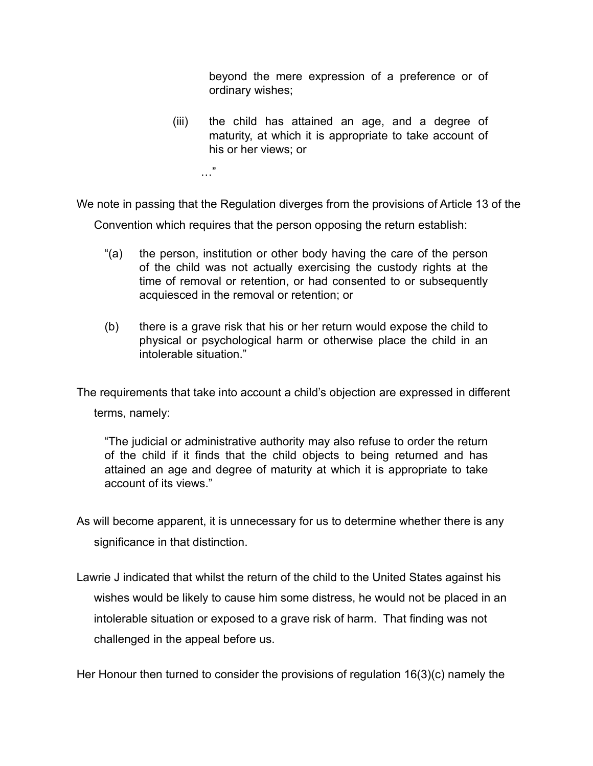beyond the mere expression of a preference or of ordinary wishes;

(iii) the child has attained an age, and a degree of maturity, at which it is appropriate to take account of his or her views; or

…"

We note in passing that the Regulation diverges from the provisions of Article 13 of the

Convention which requires that the person opposing the return establish:

- "(a) the person, institution or other body having the care of the person of the child was not actually exercising the custody rights at the time of removal or retention, or had consented to or subsequently acquiesced in the removal or retention; or
- (b) there is a grave risk that his or her return would expose the child to physical or psychological harm or otherwise place the child in an intolerable situation."

The requirements that take into account a child's objection are expressed in different

terms, namely:

"The judicial or administrative authority may also refuse to order the return of the child if it finds that the child objects to being returned and has attained an age and degree of maturity at which it is appropriate to take account of its views."

As will become apparent, it is unnecessary for us to determine whether there is any significance in that distinction.

Lawrie J indicated that whilst the return of the child to the United States against his wishes would be likely to cause him some distress, he would not be placed in an intolerable situation or exposed to a grave risk of harm. That finding was not challenged in the appeal before us.

Her Honour then turned to consider the provisions of regulation 16(3)(c) namely the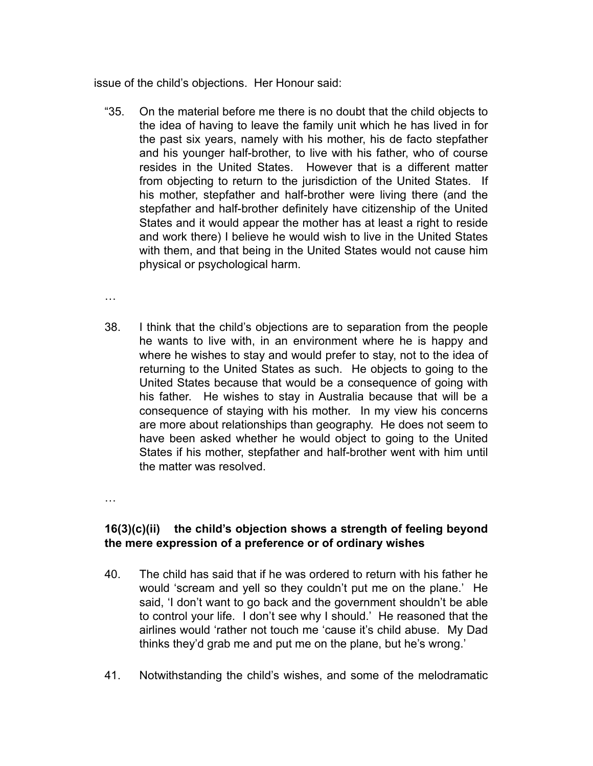issue of the child's objections. Her Honour said:

"35. On the material before me there is no doubt that the child objects to the idea of having to leave the family unit which he has lived in for the past six years, namely with his mother, his de facto stepfather and his younger half-brother, to live with his father, who of course resides in the United States. However that is a different matter from objecting to return to the jurisdiction of the United States. If his mother, stepfather and half-brother were living there (and the stepfather and half-brother definitely have citizenship of the United States and it would appear the mother has at least a right to reside and work there) I believe he would wish to live in the United States with them, and that being in the United States would not cause him physical or psychological harm.

…

38. I think that the child's objections are to separation from the people he wants to live with, in an environment where he is happy and where he wishes to stay and would prefer to stay, not to the idea of returning to the United States as such. He objects to going to the United States because that would be a consequence of going with his father. He wishes to stay in Australia because that will be a consequence of staying with his mother. In my view his concerns are more about relationships than geography. He does not seem to have been asked whether he would object to going to the United States if his mother, stepfather and half-brother went with him until the matter was resolved.

…

## **16(3)(c)(ii) the child's objection shows a strength of feeling beyond the mere expression of a preference or of ordinary wishes**

- 40. The child has said that if he was ordered to return with his father he would 'scream and yell so they couldn't put me on the plane.' He said, 'I don't want to go back and the government shouldn't be able to control your life. I don't see why I should.' He reasoned that the airlines would 'rather not touch me 'cause it's child abuse. My Dad thinks they'd grab me and put me on the plane, but he's wrong.'
- 41. Notwithstanding the child's wishes, and some of the melodramatic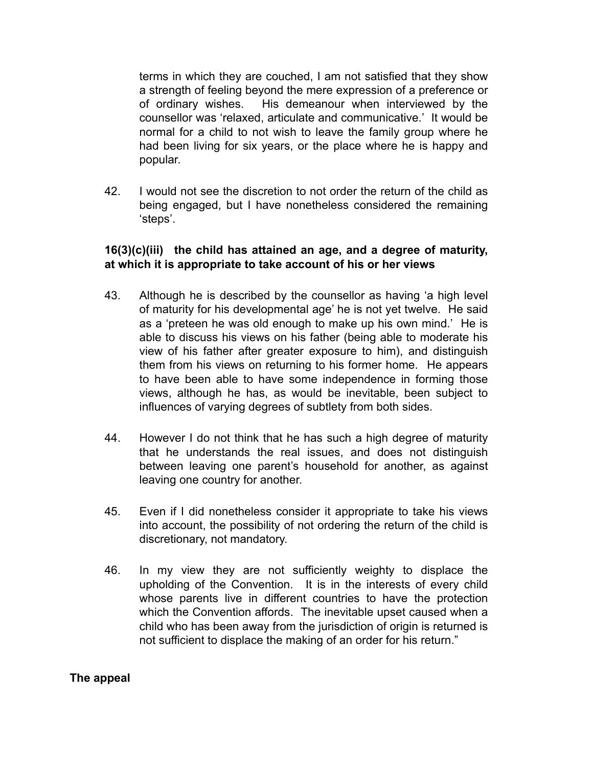terms in which they are couched, I am not satisfied that they show a strength of feeling beyond the mere expression of a preference or of ordinary wishes. His demeanour when interviewed by the counsellor was 'relaxed, articulate and communicative.' It would be normal for a child to not wish to leave the family group where he had been living for six years, or the place where he is happy and popular.

42. I would not see the discretion to not order the return of the child as being engaged, but I have nonetheless considered the remaining 'steps'.

## **16(3)(c)(iii) the child has attained an age, and a degree of maturity, at which it is appropriate to take account of his or her views**

- 43. Although he is described by the counsellor as having 'a high level of maturity for his developmental age' he is not yet twelve. He said as a 'preteen he was old enough to make up his own mind.' He is able to discuss his views on his father (being able to moderate his view of his father after greater exposure to him), and distinguish them from his views on returning to his former home. He appears to have been able to have some independence in forming those views, although he has, as would be inevitable, been subject to influences of varying degrees of subtlety from both sides.
- 44. However I do not think that he has such a high degree of maturity that he understands the real issues, and does not distinguish between leaving one parent's household for another, as against leaving one country for another.
- 45. Even if I did nonetheless consider it appropriate to take his views into account, the possibility of not ordering the return of the child is discretionary, not mandatory.
- 46. In my view they are not sufficiently weighty to displace the upholding of the Convention. It is in the interests of every child whose parents live in different countries to have the protection which the Convention affords. The inevitable upset caused when a child who has been away from the jurisdiction of origin is returned is not sufficient to displace the making of an order for his return."

## **The appeal**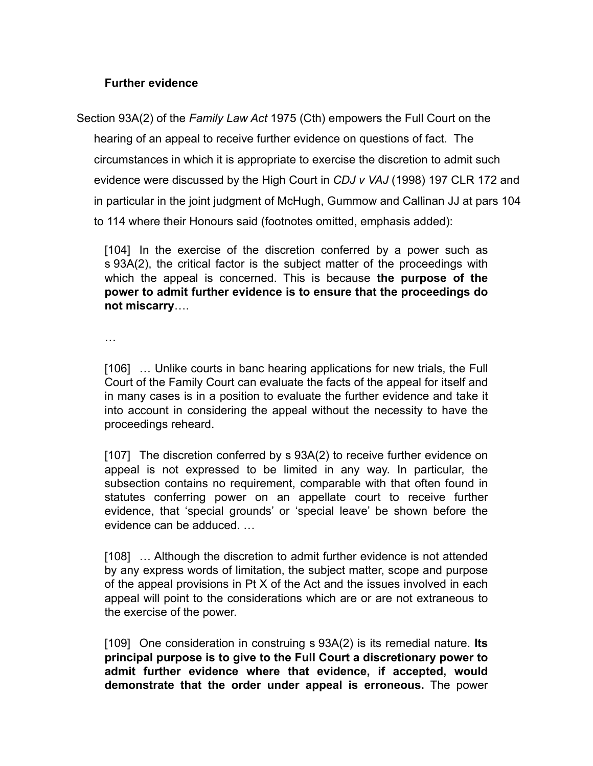## **Further evidence**

Section 93A(2) of the *Family Law Act* 1975 (Cth) empowers the Full Court on the hearing of an appeal to receive further evidence on questions of fact. The circumstances in which it is appropriate to exercise the discretion to admit such evidence were discussed by the High Court in *CDJ v VAJ* (1998) 197 CLR 172 and in particular in the joint judgment of McHugh, Gummow and Callinan JJ at pars 104 to 114 where their Honours said (footnotes omitted, emphasis added):

[104] In the exercise of the discretion conferred by a power such as s 93A(2), the critical factor is the subject matter of the proceedings with which the appeal is concerned. This is because **the purpose of the power to admit further evidence is to ensure that the proceedings do not miscarry**….

…

[106] … Unlike courts in banc hearing applications for new trials, the Full Court of the Family Court can evaluate the facts of the appeal for itself and in many cases is in a position to evaluate the further evidence and take it into account in considering the appeal without the necessity to have the proceedings reheard.

[107] The discretion conferred by s 93A(2) to receive further evidence on appeal is not expressed to be limited in any way. In particular, the subsection contains no requirement, comparable with that often found in statutes conferring power on an appellate court to receive further evidence, that 'special grounds' or 'special leave' be shown before the evidence can be adduced. …

[108] … Although the discretion to admit further evidence is not attended by any express words of limitation, the subject matter, scope and purpose of the appeal provisions in Pt X of the Act and the issues involved in each appeal will point to the considerations which are or are not extraneous to the exercise of the power.

[109] One consideration in construing s 93A(2) is its remedial nature. **Its principal purpose is to give to the Full Court a discretionary power to admit further evidence where that evidence, if accepted, would demonstrate that the order under appeal is erroneous.** The power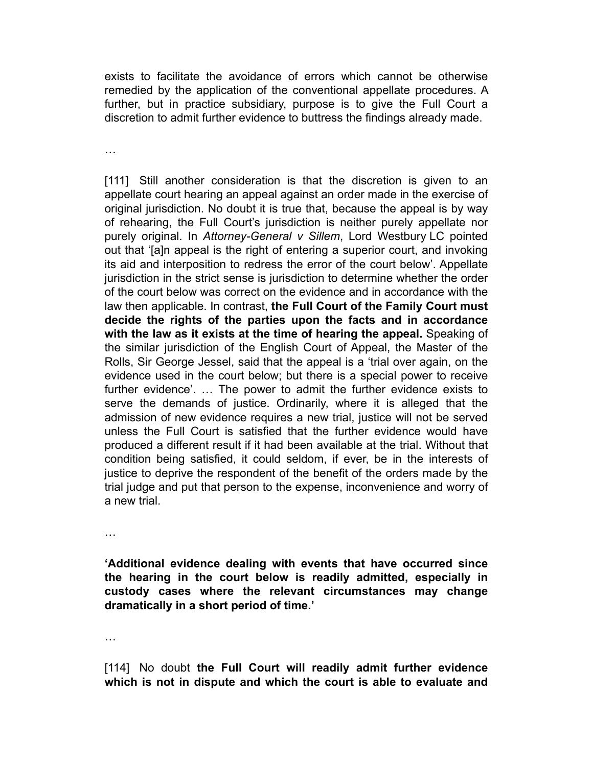exists to facilitate the avoidance of errors which cannot be otherwise remedied by the application of the conventional appellate procedures. A further, but in practice subsidiary, purpose is to give the Full Court a discretion to admit further evidence to buttress the findings already made.

…

[111] Still another consideration is that the discretion is given to an appellate court hearing an appeal against an order made in the exercise of original jurisdiction. No doubt it is true that, because the appeal is by way of rehearing, the Full Court's jurisdiction is neither purely appellate nor purely original. In *Attorney-General v Sillem*, Lord Westbury LC pointed out that '[a]n appeal is the right of entering a superior court, and invoking its aid and interposition to redress the error of the court below'. Appellate jurisdiction in the strict sense is jurisdiction to determine whether the order of the court below was correct on the evidence and in accordance with the law then applicable. In contrast, **the Full Court of the Family Court must decide the rights of the parties upon the facts and in accordance with the law as it exists at the time of hearing the appeal.** Speaking of the similar jurisdiction of the English Court of Appeal, the Master of the Rolls, Sir George Jessel, said that the appeal is a 'trial over again, on the evidence used in the court below; but there is a special power to receive further evidence'. … The power to admit the further evidence exists to serve the demands of justice. Ordinarily, where it is alleged that the admission of new evidence requires a new trial, justice will not be served unless the Full Court is satisfied that the further evidence would have produced a different result if it had been available at the trial. Without that condition being satisfied, it could seldom, if ever, be in the interests of justice to deprive the respondent of the benefit of the orders made by the trial judge and put that person to the expense, inconvenience and worry of a new trial.

…

**'Additional evidence dealing with events that have occurred since the hearing in the court below is readily admitted, especially in custody cases where the relevant circumstances may change dramatically in a short period of time.'**

…

[114] No doubt **the Full Court will readily admit further evidence which is not in dispute and which the court is able to evaluate and**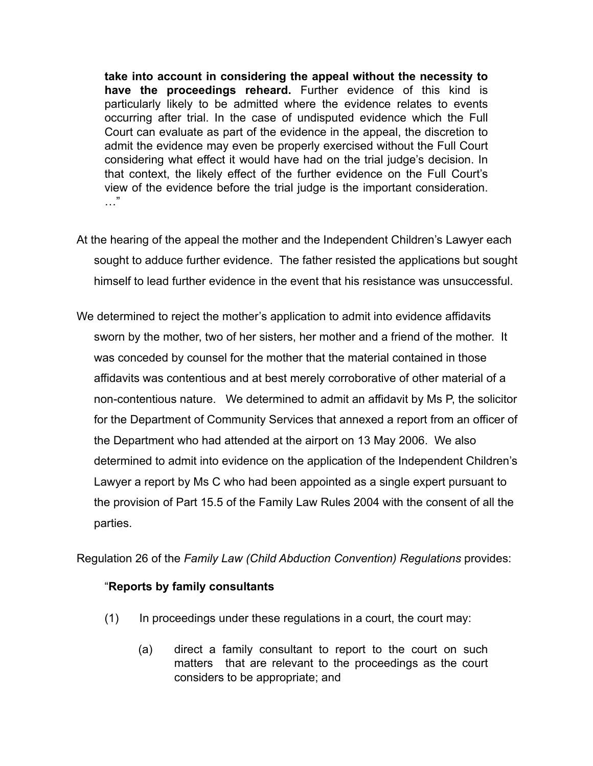**take into account in considering the appeal without the necessity to have the proceedings reheard.** Further evidence of this kind is particularly likely to be admitted where the evidence relates to events occurring after trial. In the case of undisputed evidence which the Full Court can evaluate as part of the evidence in the appeal, the discretion to admit the evidence may even be properly exercised without the Full Court considering what effect it would have had on the trial judge's decision. In that context, the likely effect of the further evidence on the Full Court's view of the evidence before the trial judge is the important consideration.  $\cdots$ 

- At the hearing of the appeal the mother and the Independent Children's Lawyer each sought to adduce further evidence. The father resisted the applications but sought himself to lead further evidence in the event that his resistance was unsuccessful.
- We determined to reject the mother's application to admit into evidence affidavits sworn by the mother, two of her sisters, her mother and a friend of the mother. It was conceded by counsel for the mother that the material contained in those affidavits was contentious and at best merely corroborative of other material of a non-contentious nature. We determined to admit an affidavit by Ms P, the solicitor for the Department of Community Services that annexed a report from an officer of the Department who had attended at the airport on 13 May 2006. We also determined to admit into evidence on the application of the Independent Children's Lawyer a report by Ms C who had been appointed as a single expert pursuant to the provision of Part 15.5 of the Family Law Rules 2004 with the consent of all the parties.

Regulation 26 of the *Family Law (Child Abduction Convention) Regulations* provides:

## "**Reports by family consultants**

- (1) In proceedings under these regulations in a court, the court may:
	- (a) direct a family consultant to report to the court on such matters that are relevant to the proceedings as the court considers to be appropriate; and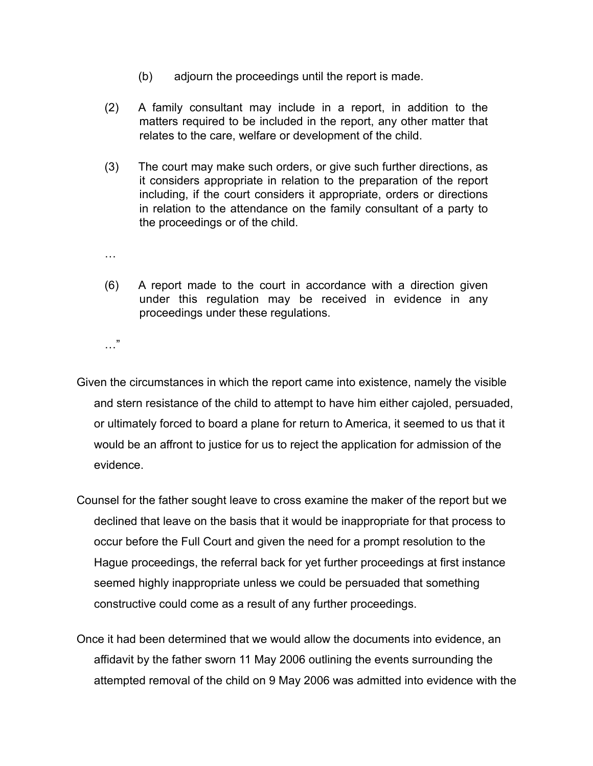- (b) adjourn the proceedings until the report is made.
- (2) A family consultant may include in a report, in addition to the matters required to be included in the report, any other matter that relates to the care, welfare or development of the child.
- (3) The court may make such orders, or give such further directions, as it considers appropriate in relation to the preparation of the report including, if the court considers it appropriate, orders or directions in relation to the attendance on the family consultant of a party to the proceedings or of the child.
- …
- (6) A report made to the court in accordance with a direction given under this regulation may be received in evidence in any proceedings under these regulations.
- …"
- Given the circumstances in which the report came into existence, namely the visible and stern resistance of the child to attempt to have him either cajoled, persuaded, or ultimately forced to board a plane for return to America, it seemed to us that it would be an affront to justice for us to reject the application for admission of the evidence.
- Counsel for the father sought leave to cross examine the maker of the report but we declined that leave on the basis that it would be inappropriate for that process to occur before the Full Court and given the need for a prompt resolution to the Hague proceedings, the referral back for yet further proceedings at first instance seemed highly inappropriate unless we could be persuaded that something constructive could come as a result of any further proceedings.
- Once it had been determined that we would allow the documents into evidence, an affidavit by the father sworn 11 May 2006 outlining the events surrounding the attempted removal of the child on 9 May 2006 was admitted into evidence with the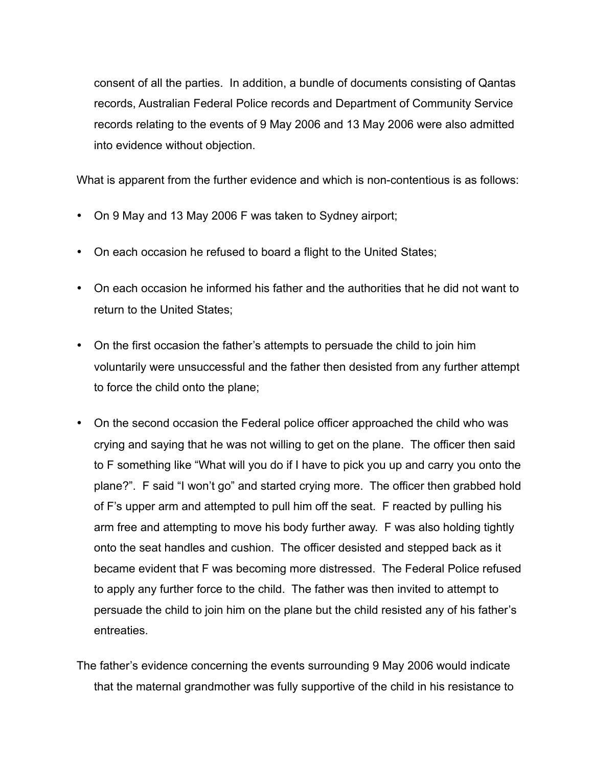consent of all the parties. In addition, a bundle of documents consisting of Qantas records, Australian Federal Police records and Department of Community Service records relating to the events of 9 May 2006 and 13 May 2006 were also admitted into evidence without objection.

What is apparent from the further evidence and which is non-contentious is as follows:

- On 9 May and 13 May 2006 F was taken to Sydney airport;
- On each occasion he refused to board a flight to the United States;
- On each occasion he informed his father and the authorities that he did not want to return to the United States;
- On the first occasion the father's attempts to persuade the child to join him voluntarily were unsuccessful and the father then desisted from any further attempt to force the child onto the plane;
- On the second occasion the Federal police officer approached the child who was crying and saying that he was not willing to get on the plane. The officer then said to F something like "What will you do if I have to pick you up and carry you onto the plane?". F said "I won't go" and started crying more. The officer then grabbed hold of F's upper arm and attempted to pull him off the seat. F reacted by pulling his arm free and attempting to move his body further away. F was also holding tightly onto the seat handles and cushion. The officer desisted and stepped back as it became evident that F was becoming more distressed. The Federal Police refused to apply any further force to the child. The father was then invited to attempt to persuade the child to join him on the plane but the child resisted any of his father's entreaties.
- The father's evidence concerning the events surrounding 9 May 2006 would indicate that the maternal grandmother was fully supportive of the child in his resistance to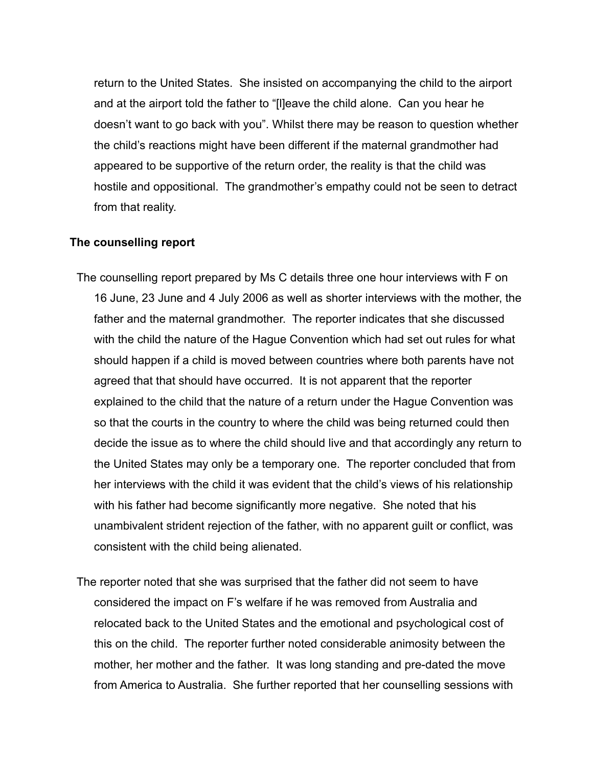return to the United States. She insisted on accompanying the child to the airport and at the airport told the father to "[l]eave the child alone. Can you hear he doesn't want to go back with you". Whilst there may be reason to question whether the child's reactions might have been different if the maternal grandmother had appeared to be supportive of the return order, the reality is that the child was hostile and oppositional. The grandmother's empathy could not be seen to detract from that reality.

### **The counselling report**

- The counselling report prepared by Ms C details three one hour interviews with F on 16 June, 23 June and 4 July 2006 as well as shorter interviews with the mother, the father and the maternal grandmother. The reporter indicates that she discussed with the child the nature of the Hague Convention which had set out rules for what should happen if a child is moved between countries where both parents have not agreed that that should have occurred. It is not apparent that the reporter explained to the child that the nature of a return under the Hague Convention was so that the courts in the country to where the child was being returned could then decide the issue as to where the child should live and that accordingly any return to the United States may only be a temporary one. The reporter concluded that from her interviews with the child it was evident that the child's views of his relationship with his father had become significantly more negative. She noted that his unambivalent strident rejection of the father, with no apparent guilt or conflict, was consistent with the child being alienated.
- The reporter noted that she was surprised that the father did not seem to have considered the impact on F's welfare if he was removed from Australia and relocated back to the United States and the emotional and psychological cost of this on the child. The reporter further noted considerable animosity between the mother, her mother and the father. It was long standing and pre-dated the move from America to Australia. She further reported that her counselling sessions with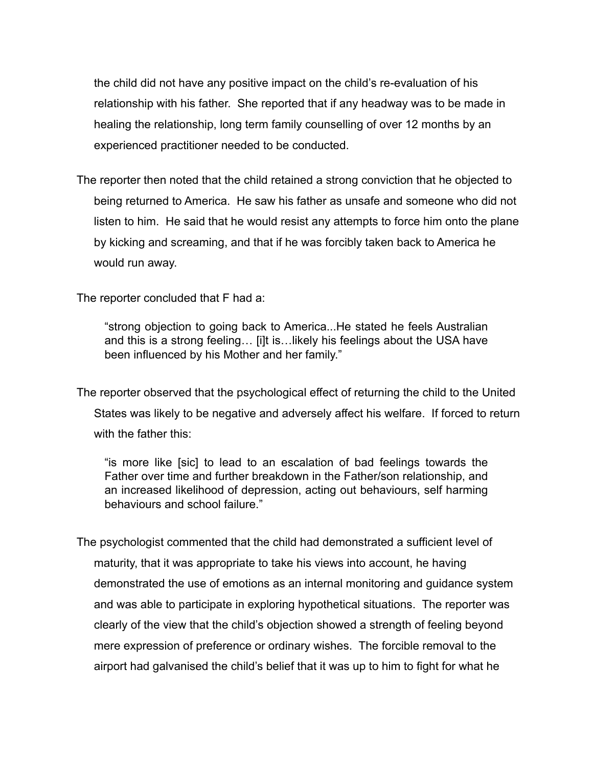the child did not have any positive impact on the child's re-evaluation of his relationship with his father. She reported that if any headway was to be made in healing the relationship, long term family counselling of over 12 months by an experienced practitioner needed to be conducted.

The reporter then noted that the child retained a strong conviction that he objected to being returned to America. He saw his father as unsafe and someone who did not listen to him. He said that he would resist any attempts to force him onto the plane by kicking and screaming, and that if he was forcibly taken back to America he would run away.

The reporter concluded that F had a:

"strong objection to going back to America...He stated he feels Australian and this is a strong feeling… [i]t is…likely his feelings about the USA have been influenced by his Mother and her family."

The reporter observed that the psychological effect of returning the child to the United States was likely to be negative and adversely affect his welfare. If forced to return with the father this:

"is more like [sic] to lead to an escalation of bad feelings towards the Father over time and further breakdown in the Father/son relationship, and an increased likelihood of depression, acting out behaviours, self harming behaviours and school failure."

The psychologist commented that the child had demonstrated a sufficient level of maturity, that it was appropriate to take his views into account, he having demonstrated the use of emotions as an internal monitoring and guidance system and was able to participate in exploring hypothetical situations. The reporter was clearly of the view that the child's objection showed a strength of feeling beyond mere expression of preference or ordinary wishes. The forcible removal to the airport had galvanised the child's belief that it was up to him to fight for what he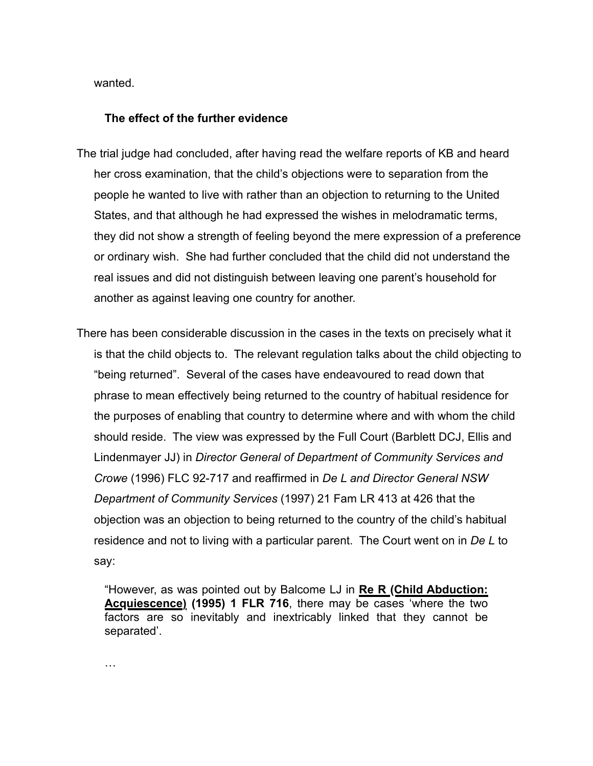wanted.

### **The effect of the further evidence**

- The trial judge had concluded, after having read the welfare reports of KB and heard her cross examination, that the child's objections were to separation from the people he wanted to live with rather than an objection to returning to the United States, and that although he had expressed the wishes in melodramatic terms, they did not show a strength of feeling beyond the mere expression of a preference or ordinary wish. She had further concluded that the child did not understand the real issues and did not distinguish between leaving one parent's household for another as against leaving one country for another.
- There has been considerable discussion in the cases in the texts on precisely what it is that the child objects to. The relevant regulation talks about the child objecting to "being returned". Several of the cases have endeavoured to read down that phrase to mean effectively being returned to the country of habitual residence for the purposes of enabling that country to determine where and with whom the child should reside. The view was expressed by the Full Court (Barblett DCJ, Ellis and Lindenmayer JJ) in *Director General of Department of Community Services and Crowe* (1996) FLC 92-717 and reaffirmed in *De L and Director General NSW Department of Community Services* (1997) 21 Fam LR 413 at 426 that the objection was an objection to being returned to the country of the child's habitual residence and not to living with a particular parent. The Court went on in *De L* to say:

"However, as was pointed out by Balcome LJ in **Re R (Child Abduction: Acquiescence) (1995) 1 FLR 716**, there may be cases 'where the two factors are so inevitably and inextricably linked that they cannot be separated'.

…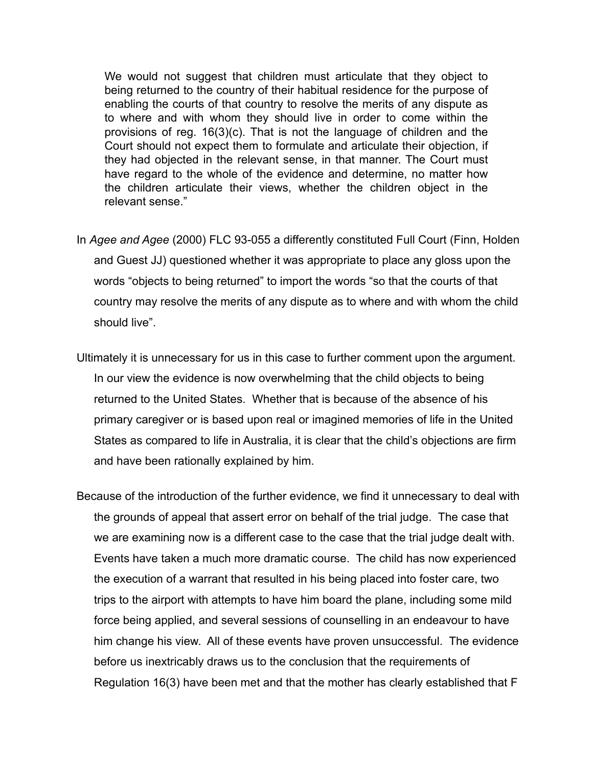We would not suggest that children must articulate that they object to being returned to the country of their habitual residence for the purpose of enabling the courts of that country to resolve the merits of any dispute as to where and with whom they should live in order to come within the provisions of reg. 16(3)(c). That is not the language of children and the Court should not expect them to formulate and articulate their objection, if they had objected in the relevant sense, in that manner. The Court must have regard to the whole of the evidence and determine, no matter how the children articulate their views, whether the children object in the relevant sense."

- In *Agee and Agee* (2000) FLC 93-055 a differently constituted Full Court (Finn, Holden and Guest JJ) questioned whether it was appropriate to place any gloss upon the words "objects to being returned" to import the words "so that the courts of that country may resolve the merits of any dispute as to where and with whom the child should live".
- Ultimately it is unnecessary for us in this case to further comment upon the argument. In our view the evidence is now overwhelming that the child objects to being returned to the United States. Whether that is because of the absence of his primary caregiver or is based upon real or imagined memories of life in the United States as compared to life in Australia, it is clear that the child's objections are firm and have been rationally explained by him.
- Because of the introduction of the further evidence, we find it unnecessary to deal with the grounds of appeal that assert error on behalf of the trial judge. The case that we are examining now is a different case to the case that the trial judge dealt with. Events have taken a much more dramatic course. The child has now experienced the execution of a warrant that resulted in his being placed into foster care, two trips to the airport with attempts to have him board the plane, including some mild force being applied, and several sessions of counselling in an endeavour to have him change his view. All of these events have proven unsuccessful. The evidence before us inextricably draws us to the conclusion that the requirements of Regulation 16(3) have been met and that the mother has clearly established that F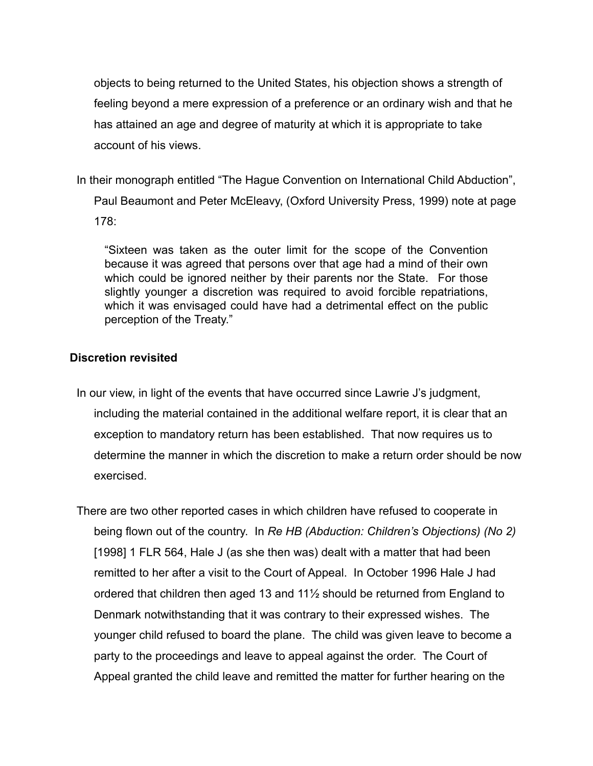objects to being returned to the United States, his objection shows a strength of feeling beyond a mere expression of a preference or an ordinary wish and that he has attained an age and degree of maturity at which it is appropriate to take account of his views.

In their monograph entitled "The Hague Convention on International Child Abduction", Paul Beaumont and Peter McEleavy, (Oxford University Press, 1999) note at page 178:

"Sixteen was taken as the outer limit for the scope of the Convention because it was agreed that persons over that age had a mind of their own which could be ignored neither by their parents nor the State. For those slightly younger a discretion was required to avoid forcible repatriations, which it was envisaged could have had a detrimental effect on the public perception of the Treaty."

## **Discretion revisited**

- In our view, in light of the events that have occurred since Lawrie J's judgment, including the material contained in the additional welfare report, it is clear that an exception to mandatory return has been established. That now requires us to determine the manner in which the discretion to make a return order should be now exercised.
- There are two other reported cases in which children have refused to cooperate in being flown out of the country. In *Re HB (Abduction: Children's Objections) (No 2)* [1998] 1 FLR 564, Hale J (as she then was) dealt with a matter that had been remitted to her after a visit to the Court of Appeal. In October 1996 Hale J had ordered that children then aged 13 and 11½ should be returned from England to Denmark notwithstanding that it was contrary to their expressed wishes. The younger child refused to board the plane. The child was given leave to become a party to the proceedings and leave to appeal against the order. The Court of Appeal granted the child leave and remitted the matter for further hearing on the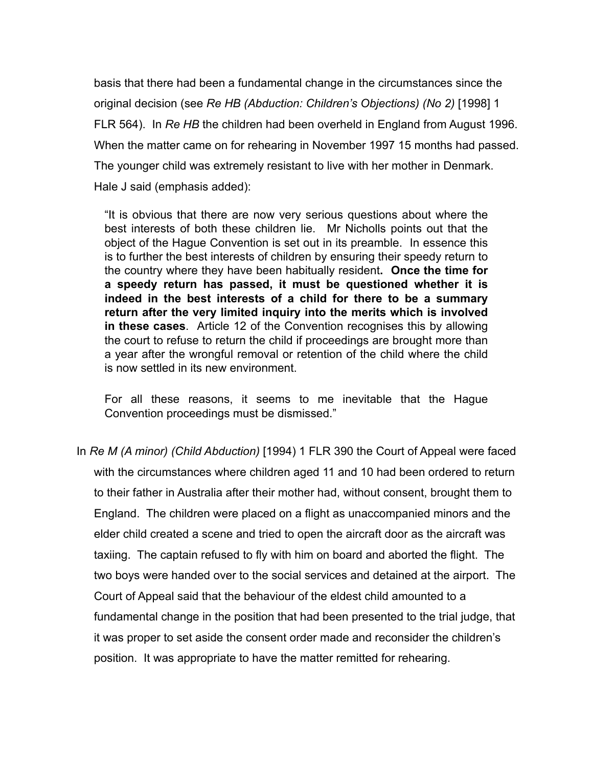basis that there had been a fundamental change in the circumstances since the original decision (see *Re HB (Abduction: Children's Objections) (No 2)* [1998] 1 FLR 564). In *Re HB* the children had been overheld in England from August 1996. When the matter came on for rehearing in November 1997 15 months had passed. The younger child was extremely resistant to live with her mother in Denmark. Hale J said (emphasis added):

"It is obvious that there are now very serious questions about where the best interests of both these children lie. Mr Nicholls points out that the object of the Hague Convention is set out in its preamble. In essence this is to further the best interests of children by ensuring their speedy return to the country where they have been habitually resident**. Once the time for a speedy return has passed, it must be questioned whether it is indeed in the best interests of a child for there to be a summary return after the very limited inquiry into the merits which is involved in these cases**. Article 12 of the Convention recognises this by allowing the court to refuse to return the child if proceedings are brought more than a year after the wrongful removal or retention of the child where the child is now settled in its new environment.

For all these reasons, it seems to me inevitable that the Hague Convention proceedings must be dismissed."

In *Re M (A minor) (Child Abduction)* [1994) 1 FLR 390 the Court of Appeal were faced with the circumstances where children aged 11 and 10 had been ordered to return to their father in Australia after their mother had, without consent, brought them to England. The children were placed on a flight as unaccompanied minors and the elder child created a scene and tried to open the aircraft door as the aircraft was taxiing. The captain refused to fly with him on board and aborted the flight. The two boys were handed over to the social services and detained at the airport. The Court of Appeal said that the behaviour of the eldest child amounted to a fundamental change in the position that had been presented to the trial judge, that it was proper to set aside the consent order made and reconsider the children's position. It was appropriate to have the matter remitted for rehearing.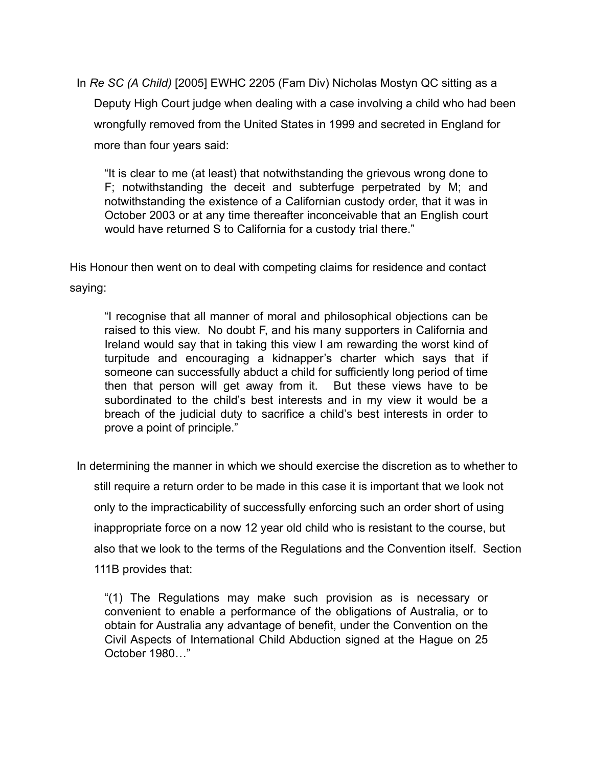In *Re SC (A Child)* [2005] EWHC 2205 (Fam Div) Nicholas Mostyn QC sitting as a Deputy High Court judge when dealing with a case involving a child who had been wrongfully removed from the United States in 1999 and secreted in England for more than four years said:

"It is clear to me (at least) that notwithstanding the grievous wrong done to F; notwithstanding the deceit and subterfuge perpetrated by M; and notwithstanding the existence of a Californian custody order, that it was in October 2003 or at any time thereafter inconceivable that an English court would have returned S to California for a custody trial there."

His Honour then went on to deal with competing claims for residence and contact saying:

"I recognise that all manner of moral and philosophical objections can be raised to this view. No doubt F, and his many supporters in California and Ireland would say that in taking this view I am rewarding the worst kind of turpitude and encouraging a kidnapper's charter which says that if someone can successfully abduct a child for sufficiently long period of time then that person will get away from it. But these views have to be subordinated to the child's best interests and in my view it would be a breach of the judicial duty to sacrifice a child's best interests in order to prove a point of principle."

In determining the manner in which we should exercise the discretion as to whether to still require a return order to be made in this case it is important that we look not only to the impracticability of successfully enforcing such an order short of using inappropriate force on a now 12 year old child who is resistant to the course, but also that we look to the terms of the Regulations and the Convention itself. Section 111B provides that:

"(1) The Regulations may make such provision as is necessary or convenient to enable a performance of the obligations of Australia, or to obtain for Australia any advantage of benefit, under the Convention on the Civil Aspects of International Child Abduction signed at the Hague on 25 October 1980…"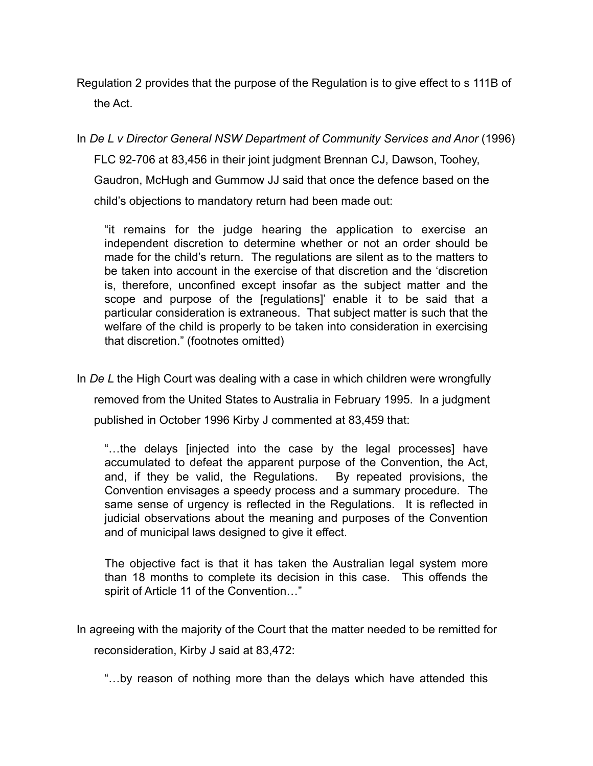Regulation 2 provides that the purpose of the Regulation is to give effect to s 111B of the Act.

In *De L v Director General NSW Department of Community Services and Anor* (1996) FLC 92-706 at 83,456 in their joint judgment Brennan CJ, Dawson, Toohey, Gaudron, McHugh and Gummow JJ said that once the defence based on the child's objections to mandatory return had been made out:

"it remains for the judge hearing the application to exercise an independent discretion to determine whether or not an order should be made for the child's return. The regulations are silent as to the matters to be taken into account in the exercise of that discretion and the 'discretion is, therefore, unconfined except insofar as the subject matter and the scope and purpose of the [regulations]' enable it to be said that a particular consideration is extraneous. That subject matter is such that the welfare of the child is properly to be taken into consideration in exercising that discretion." (footnotes omitted)

In *De L* the High Court was dealing with a case in which children were wrongfully removed from the United States to Australia in February 1995. In a judgment published in October 1996 Kirby J commented at 83,459 that:

"…the delays [injected into the case by the legal processes] have accumulated to defeat the apparent purpose of the Convention, the Act, and, if they be valid, the Regulations. By repeated provisions, the Convention envisages a speedy process and a summary procedure. The same sense of urgency is reflected in the Regulations. It is reflected in judicial observations about the meaning and purposes of the Convention and of municipal laws designed to give it effect.

The objective fact is that it has taken the Australian legal system more than 18 months to complete its decision in this case. This offends the spirit of Article 11 of the Convention…"

In agreeing with the majority of the Court that the matter needed to be remitted for reconsideration, Kirby J said at 83,472:

"…by reason of nothing more than the delays which have attended this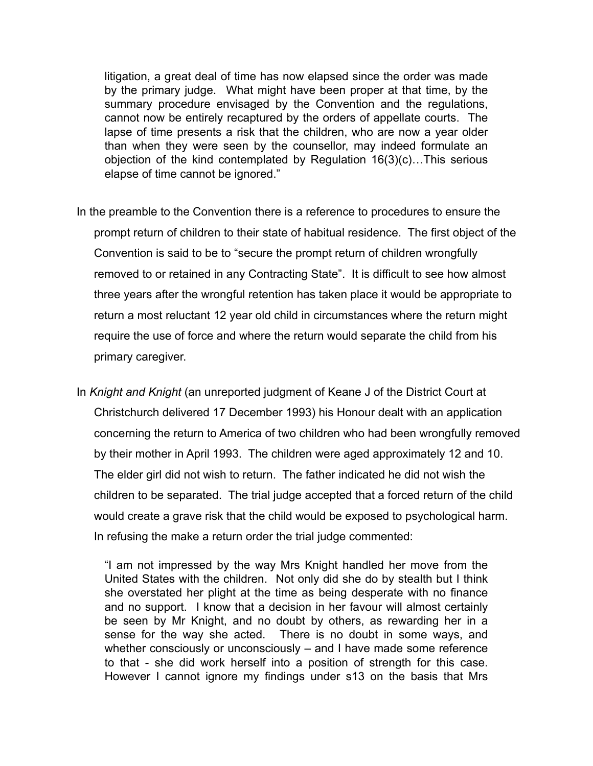litigation, a great deal of time has now elapsed since the order was made by the primary judge. What might have been proper at that time, by the summary procedure envisaged by the Convention and the regulations, cannot now be entirely recaptured by the orders of appellate courts. The lapse of time presents a risk that the children, who are now a year older than when they were seen by the counsellor, may indeed formulate an objection of the kind contemplated by Regulation 16(3)(c)…This serious elapse of time cannot be ignored."

- In the preamble to the Convention there is a reference to procedures to ensure the prompt return of children to their state of habitual residence. The first object of the Convention is said to be to "secure the prompt return of children wrongfully removed to or retained in any Contracting State". It is difficult to see how almost three years after the wrongful retention has taken place it would be appropriate to return a most reluctant 12 year old child in circumstances where the return might require the use of force and where the return would separate the child from his primary caregiver.
- In *Knight and Knight* (an unreported judgment of Keane J of the District Court at Christchurch delivered 17 December 1993) his Honour dealt with an application concerning the return to America of two children who had been wrongfully removed by their mother in April 1993. The children were aged approximately 12 and 10. The elder girl did not wish to return. The father indicated he did not wish the children to be separated. The trial judge accepted that a forced return of the child would create a grave risk that the child would be exposed to psychological harm. In refusing the make a return order the trial judge commented:

"I am not impressed by the way Mrs Knight handled her move from the United States with the children. Not only did she do by stealth but I think she overstated her plight at the time as being desperate with no finance and no support. I know that a decision in her favour will almost certainly be seen by Mr Knight, and no doubt by others, as rewarding her in a sense for the way she acted. There is no doubt in some ways, and whether consciously or unconsciously – and I have made some reference to that - she did work herself into a position of strength for this case. However I cannot ignore my findings under s13 on the basis that Mrs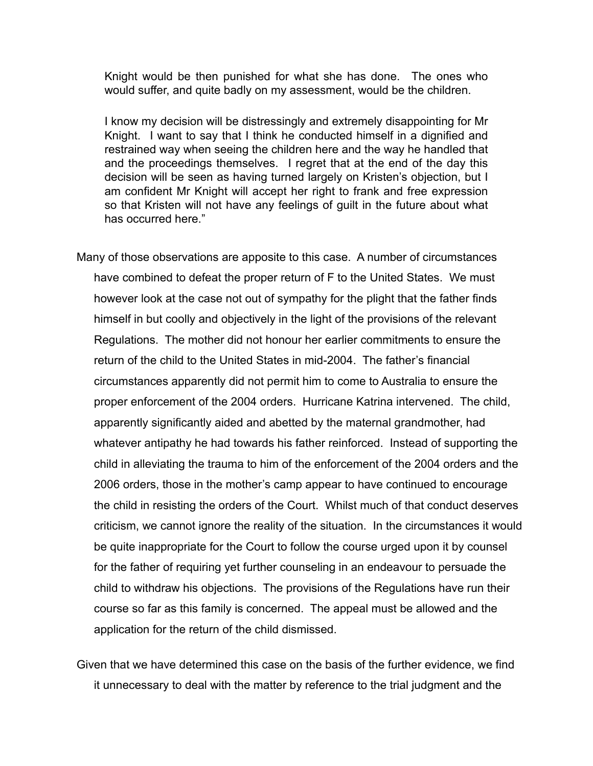Knight would be then punished for what she has done. The ones who would suffer, and quite badly on my assessment, would be the children.

I know my decision will be distressingly and extremely disappointing for Mr Knight. I want to say that I think he conducted himself in a dignified and restrained way when seeing the children here and the way he handled that and the proceedings themselves. I regret that at the end of the day this decision will be seen as having turned largely on Kristen's objection, but I am confident Mr Knight will accept her right to frank and free expression so that Kristen will not have any feelings of guilt in the future about what has occurred here."

- Many of those observations are apposite to this case. A number of circumstances have combined to defeat the proper return of F to the United States. We must however look at the case not out of sympathy for the plight that the father finds himself in but coolly and objectively in the light of the provisions of the relevant Regulations. The mother did not honour her earlier commitments to ensure the return of the child to the United States in mid-2004. The father's financial circumstances apparently did not permit him to come to Australia to ensure the proper enforcement of the 2004 orders. Hurricane Katrina intervened. The child, apparently significantly aided and abetted by the maternal grandmother, had whatever antipathy he had towards his father reinforced. Instead of supporting the child in alleviating the trauma to him of the enforcement of the 2004 orders and the 2006 orders, those in the mother's camp appear to have continued to encourage the child in resisting the orders of the Court. Whilst much of that conduct deserves criticism, we cannot ignore the reality of the situation. In the circumstances it would be quite inappropriate for the Court to follow the course urged upon it by counsel for the father of requiring yet further counseling in an endeavour to persuade the child to withdraw his objections. The provisions of the Regulations have run their course so far as this family is concerned. The appeal must be allowed and the application for the return of the child dismissed.
- Given that we have determined this case on the basis of the further evidence, we find it unnecessary to deal with the matter by reference to the trial judgment and the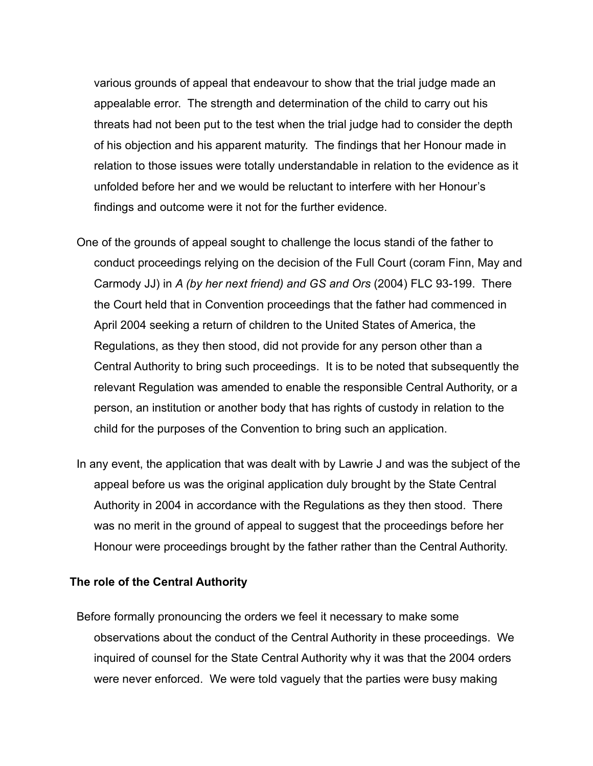various grounds of appeal that endeavour to show that the trial judge made an appealable error. The strength and determination of the child to carry out his threats had not been put to the test when the trial judge had to consider the depth of his objection and his apparent maturity. The findings that her Honour made in relation to those issues were totally understandable in relation to the evidence as it unfolded before her and we would be reluctant to interfere with her Honour's findings and outcome were it not for the further evidence.

- One of the grounds of appeal sought to challenge the locus standi of the father to conduct proceedings relying on the decision of the Full Court (coram Finn, May and Carmody JJ) in *A (by her next friend) and GS and Ors* (2004) FLC 93-199. There the Court held that in Convention proceedings that the father had commenced in April 2004 seeking a return of children to the United States of America, the Regulations, as they then stood, did not provide for any person other than a Central Authority to bring such proceedings. It is to be noted that subsequently the relevant Regulation was amended to enable the responsible Central Authority, or a person, an institution or another body that has rights of custody in relation to the child for the purposes of the Convention to bring such an application.
- In any event, the application that was dealt with by Lawrie J and was the subject of the appeal before us was the original application duly brought by the State Central Authority in 2004 in accordance with the Regulations as they then stood. There was no merit in the ground of appeal to suggest that the proceedings before her Honour were proceedings brought by the father rather than the Central Authority.

### **The role of the Central Authority**

Before formally pronouncing the orders we feel it necessary to make some observations about the conduct of the Central Authority in these proceedings. We inquired of counsel for the State Central Authority why it was that the 2004 orders were never enforced. We were told vaguely that the parties were busy making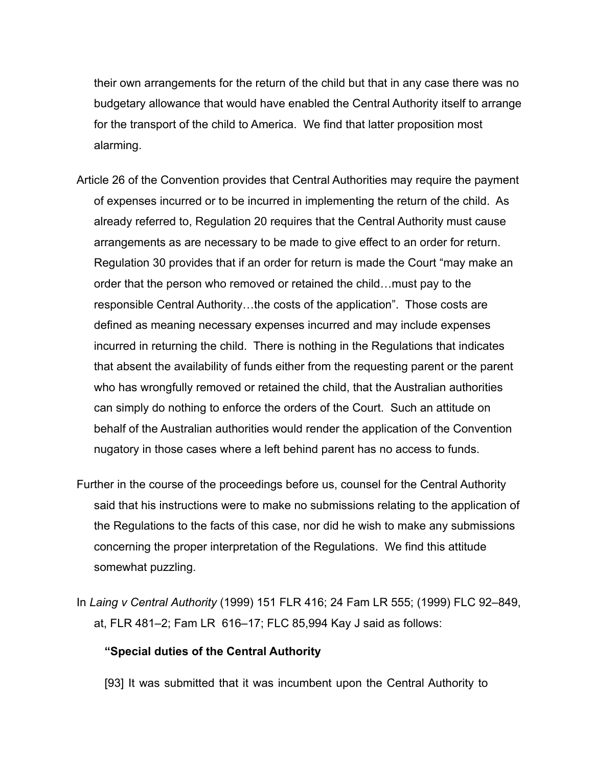their own arrangements for the return of the child but that in any case there was no budgetary allowance that would have enabled the Central Authority itself to arrange for the transport of the child to America. We find that latter proposition most alarming.

- Article 26 of the Convention provides that Central Authorities may require the payment of expenses incurred or to be incurred in implementing the return of the child. As already referred to, Regulation 20 requires that the Central Authority must cause arrangements as are necessary to be made to give effect to an order for return. Regulation 30 provides that if an order for return is made the Court "may make an order that the person who removed or retained the child…must pay to the responsible Central Authority…the costs of the application". Those costs are defined as meaning necessary expenses incurred and may include expenses incurred in returning the child. There is nothing in the Regulations that indicates that absent the availability of funds either from the requesting parent or the parent who has wrongfully removed or retained the child, that the Australian authorities can simply do nothing to enforce the orders of the Court. Such an attitude on behalf of the Australian authorities would render the application of the Convention nugatory in those cases where a left behind parent has no access to funds.
- Further in the course of the proceedings before us, counsel for the Central Authority said that his instructions were to make no submissions relating to the application of the Regulations to the facts of this case, nor did he wish to make any submissions concerning the proper interpretation of the Regulations. We find this attitude somewhat puzzling.
- In *Laing v Central Authority* (1999) 151 FLR 416; 24 Fam LR 555; (1999) FLC 92–849, at, FLR 481–2; Fam LR 616–17; FLC 85,994 Kay J said as follows:

### **"Special duties of the Central Authority**

[93] It was submitted that it was incumbent upon the Central Authority to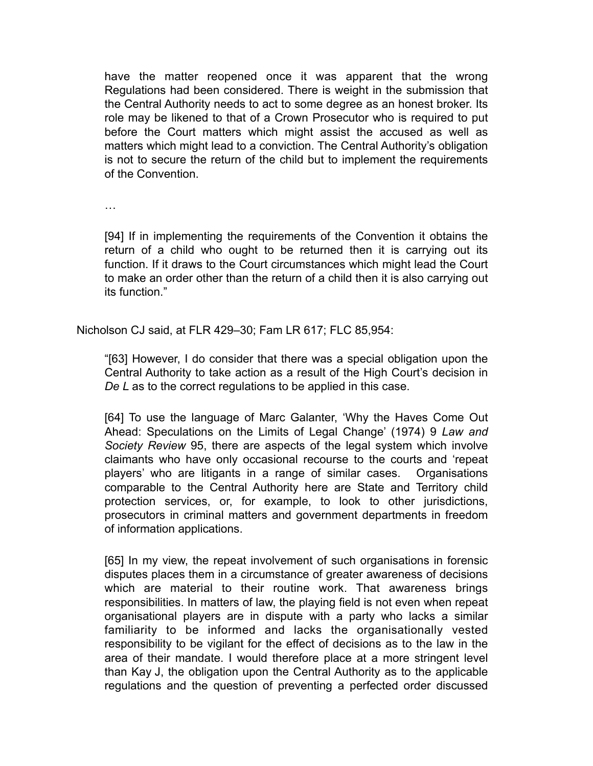have the matter reopened once it was apparent that the wrong Regulations had been considered. There is weight in the submission that the Central Authority needs to act to some degree as an honest broker. Its role may be likened to that of a Crown Prosecutor who is required to put before the Court matters which might assist the accused as well as matters which might lead to a conviction. The Central Authority's obligation is not to secure the return of the child but to implement the requirements of the Convention.

…

[94] If in implementing the requirements of the Convention it obtains the return of a child who ought to be returned then it is carrying out its function. If it draws to the Court circumstances which might lead the Court to make an order other than the return of a child then it is also carrying out its function."

Nicholson CJ said, at FLR 429–30; Fam LR 617; FLC 85,954:

"[63] However, I do consider that there was a special obligation upon the Central Authority to take action as a result of the High Court's decision in *De L* as to the correct regulations to be applied in this case.

[64] To use the language of Marc Galanter, 'Why the Haves Come Out Ahead: Speculations on the Limits of Legal Change' (1974) 9 *Law and Society Review* 95, there are aspects of the legal system which involve claimants who have only occasional recourse to the courts and 'repeat players' who are litigants in a range of similar cases. Organisations comparable to the Central Authority here are State and Territory child protection services, or, for example, to look to other jurisdictions, prosecutors in criminal matters and government departments in freedom of information applications.

[65] In my view, the repeat involvement of such organisations in forensic disputes places them in a circumstance of greater awareness of decisions which are material to their routine work. That awareness brings responsibilities. In matters of law, the playing field is not even when repeat organisational players are in dispute with a party who lacks a similar familiarity to be informed and lacks the organisationally vested responsibility to be vigilant for the effect of decisions as to the law in the area of their mandate. I would therefore place at a more stringent level than Kay J, the obligation upon the Central Authority as to the applicable regulations and the question of preventing a perfected order discussed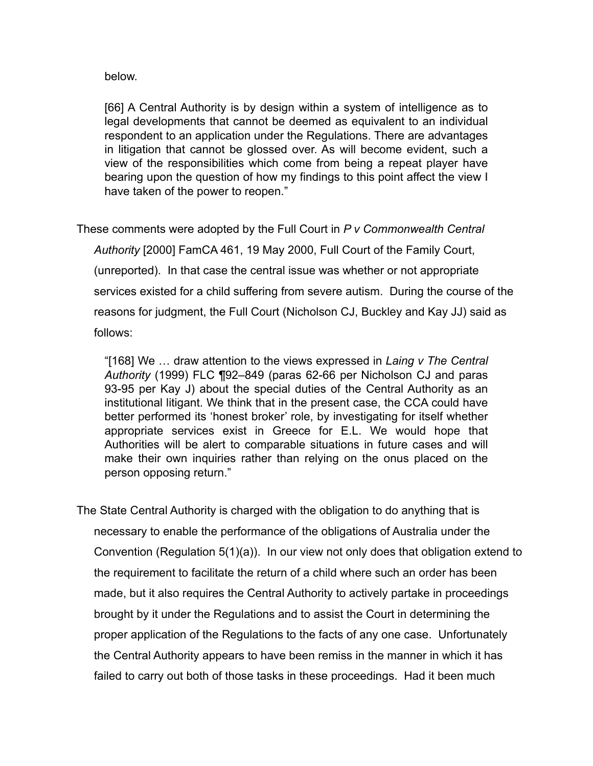below.

[66] A Central Authority is by design within a system of intelligence as to legal developments that cannot be deemed as equivalent to an individual respondent to an application under the Regulations. There are advantages in litigation that cannot be glossed over. As will become evident, such a view of the responsibilities which come from being a repeat player have bearing upon the question of how my findings to this point affect the view I have taken of the power to reopen."

These comments were adopted by the Full Court in *P v Commonwealth Central Authority* [2000] FamCA 461, 19 May 2000, Full Court of the Family Court, (unreported). In that case the central issue was whether or not appropriate services existed for a child suffering from severe autism. During the course of the reasons for judgment, the Full Court (Nicholson CJ, Buckley and Kay JJ) said as follows:

"[168] We … draw attention to the views expressed in *Laing v The Central Authority* (1999) FLC ¶92–849 (paras 62-66 per Nicholson CJ and paras 93-95 per Kay J) about the special duties of the Central Authority as an institutional litigant. We think that in the present case, the CCA could have better performed its 'honest broker' role, by investigating for itself whether appropriate services exist in Greece for E.L. We would hope that Authorities will be alert to comparable situations in future cases and will make their own inquiries rather than relying on the onus placed on the person opposing return."

The State Central Authority is charged with the obligation to do anything that is necessary to enable the performance of the obligations of Australia under the Convention (Regulation 5(1)(a)). In our view not only does that obligation extend to the requirement to facilitate the return of a child where such an order has been made, but it also requires the Central Authority to actively partake in proceedings brought by it under the Regulations and to assist the Court in determining the proper application of the Regulations to the facts of any one case. Unfortunately the Central Authority appears to have been remiss in the manner in which it has failed to carry out both of those tasks in these proceedings. Had it been much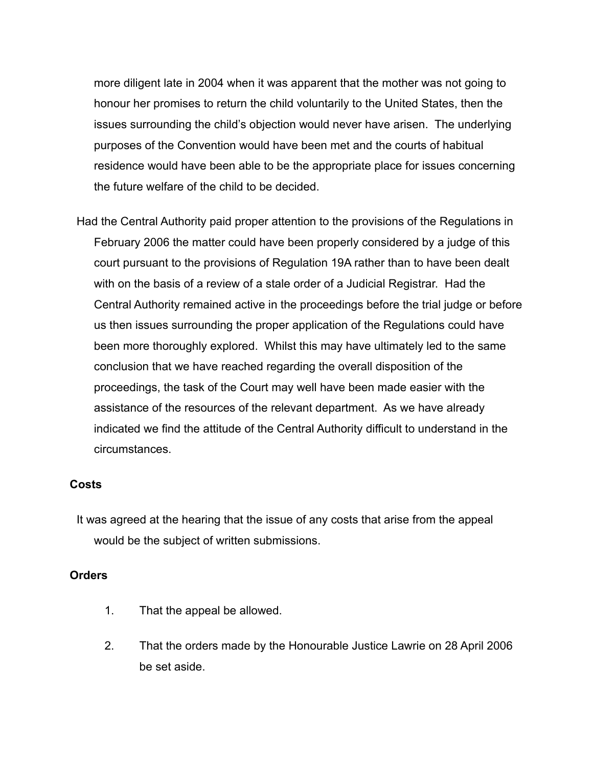more diligent late in 2004 when it was apparent that the mother was not going to honour her promises to return the child voluntarily to the United States, then the issues surrounding the child's objection would never have arisen. The underlying purposes of the Convention would have been met and the courts of habitual residence would have been able to be the appropriate place for issues concerning the future welfare of the child to be decided.

Had the Central Authority paid proper attention to the provisions of the Regulations in February 2006 the matter could have been properly considered by a judge of this court pursuant to the provisions of Regulation 19A rather than to have been dealt with on the basis of a review of a stale order of a Judicial Registrar. Had the Central Authority remained active in the proceedings before the trial judge or before us then issues surrounding the proper application of the Regulations could have been more thoroughly explored. Whilst this may have ultimately led to the same conclusion that we have reached regarding the overall disposition of the proceedings, the task of the Court may well have been made easier with the assistance of the resources of the relevant department. As we have already indicated we find the attitude of the Central Authority difficult to understand in the circumstances.

## **Costs**

It was agreed at the hearing that the issue of any costs that arise from the appeal would be the subject of written submissions.

### **Orders**

- 1. That the appeal be allowed.
- 2. That the orders made by the Honourable Justice Lawrie on 28 April 2006 be set aside.